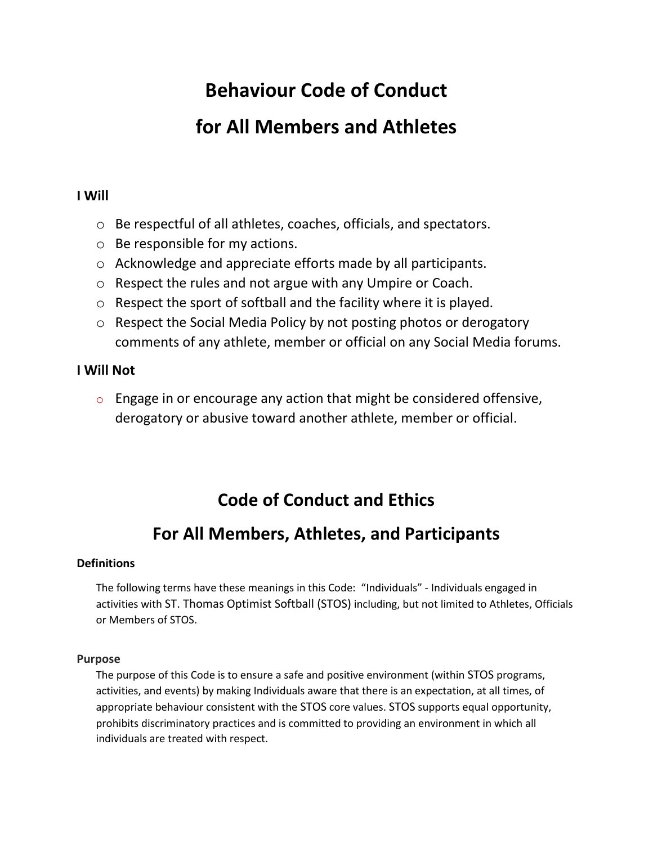# **Behaviour Code of Conduct for All Members and Athletes**

### **I Will**

- o Be respectful of all athletes, coaches, officials, and spectators.
- o Be responsible for my actions.
- o Acknowledge and appreciate efforts made by all participants.
- o Respect the rules and not argue with any Umpire or Coach.
- o Respect the sport of softball and the facility where it is played.
- o Respect the Social Media Policy by not posting photos or derogatory comments of any athlete, member or official on any Social Media forums.

### **I Will Not**

 $\circ$  Engage in or encourage any action that might be considered offensive, derogatory or abusive toward another athlete, member or official.

# **Code of Conduct and Ethics**

## **For All Members, Athletes, and Participants**

### **Definitions**

The following terms have these meanings in this Code: "Individuals" - Individuals engaged in activities with ST. Thomas Optimist Softball (STOS) including, but not limited to Athletes, Officials or Members of STOS.

#### **Purpose**

The purpose of this Code is to ensure a safe and positive environment (within STOS programs, activities, and events) by making Individuals aware that there is an expectation, at all times, of appropriate behaviour consistent with the STOS core values. STOS supports equal opportunity, prohibits discriminatory practices and is committed to providing an environment in which all individuals are treated with respect.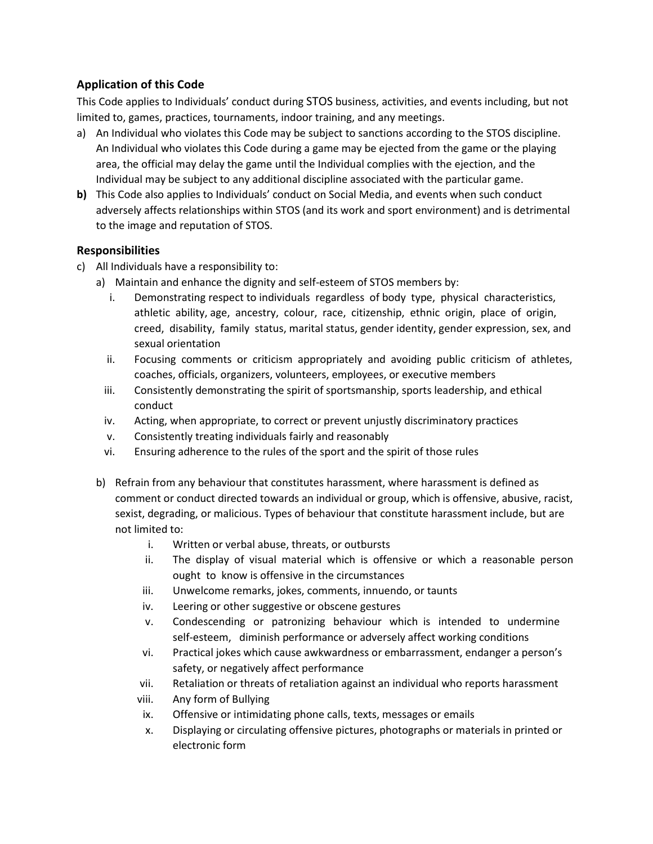### **Application of this Code**

This Code applies to Individuals' conduct during STOS business, activities, and events including, but not limited to, games, practices, tournaments, indoor training, and any meetings.

- a) An Individual who violates this Code may be subject to sanctions according to the STOS discipline. An Individual who violates this Code during a game may be ejected from the game or the playing area, the official may delay the game until the Individual complies with the ejection, and the Individual may be subject to any additional discipline associated with the particular game.
- **b)** This Code also applies to Individuals' conduct on Social Media, and events when such conduct adversely affects relationships within STOS (and its work and sport environment) and is detrimental to the image and reputation of STOS.

#### **Responsibilities**

- c) All Individuals have a responsibility to:
	- a) Maintain and enhance the dignity and self-esteem of STOS members by:
		- i. Demonstrating respect to individuals regardless of body type, physical characteristics, athletic ability, age, ancestry, colour, race, citizenship, ethnic origin, place of origin, creed, disability, family status, marital status, gender identity, gender expression, sex, and sexual orientation
		- ii. Focusing comments or criticism appropriately and avoiding public criticism of athletes, coaches, officials, organizers, volunteers, employees, or executive members
		- iii. Consistently demonstrating the spirit of sportsmanship, sports leadership, and ethical conduct
		- iv. Acting, when appropriate, to correct or prevent unjustly discriminatory practices
		- v. Consistently treating individuals fairly and reasonably
		- vi. Ensuring adherence to the rules of the sport and the spirit of those rules
	- b) Refrain from any behaviour that constitutes harassment, where harassment is defined as comment or conduct directed towards an individual or group, which is offensive, abusive, racist, sexist, degrading, or malicious. Types of behaviour that constitute harassment include, but are not limited to:
		- i. Written or verbal abuse, threats, or outbursts
		- ii. The display of visual material which is offensive or which a reasonable person ought to know is offensive in the circumstances
		- iii. Unwelcome remarks, jokes, comments, innuendo, or taunts
		- iv. Leering or other suggestive or obscene gestures
		- v. Condescending or patronizing behaviour which is intended to undermine self-esteem, diminish performance or adversely affect working conditions
		- vi. Practical jokes which cause awkwardness or embarrassment, endanger a person's safety, or negatively affect performance
		- vii. Retaliation or threats of retaliation against an individual who reports harassment
		- viii. Any form of Bullying
		- ix. Offensive or intimidating phone calls, texts, messages or emails
		- x. Displaying or circulating offensive pictures, photographs or materials in printed or electronic form